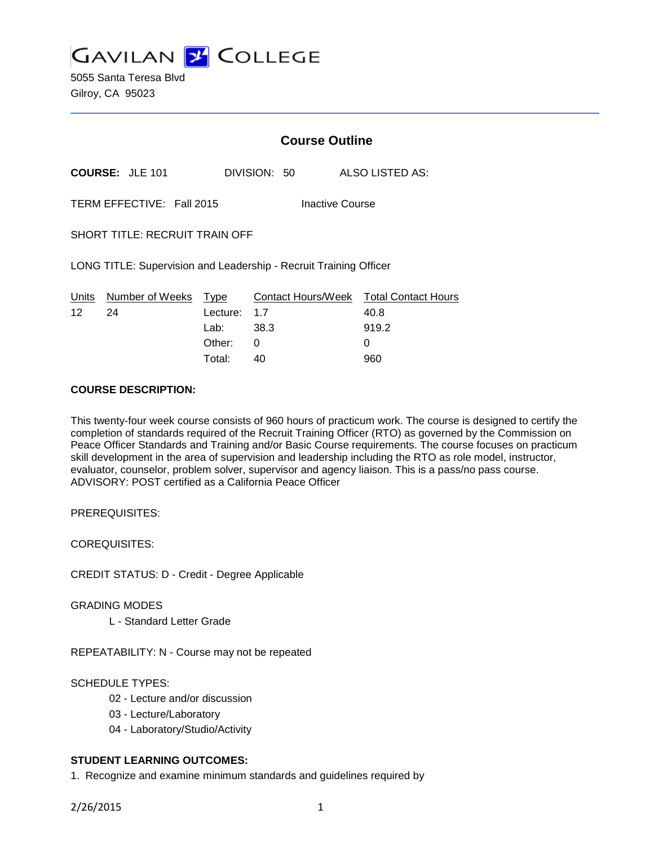

5055 Santa Teresa Blvd Gilroy, CA 95023

## **Course Outline**

**COURSE:** JLE 101 DIVISION: 50 ALSO LISTED AS:

TERM EFFECTIVE: Fall 2015 Inactive Course

SHORT TITLE: RECRUIT TRAIN OFF

LONG TITLE: Supervision and Leadership - Recruit Training Officer

|    | Units Number of Weeks Type |              | Contact Hours/Week Total Contact Hours |       |
|----|----------------------------|--------------|----------------------------------------|-------|
| 12 | -24                        | Lecture: 1.7 |                                        | 40.8  |
|    |                            | Lab: _       | - 38.3                                 | 919.2 |
|    |                            | Other: 0     |                                        |       |
|    |                            | Total:       | 40                                     | 960   |

#### **COURSE DESCRIPTION:**

This twenty-four week course consists of 960 hours of practicum work. The course is designed to certify the completion of standards required of the Recruit Training Officer (RTO) as governed by the Commission on Peace Officer Standards and Training and/or Basic Course requirements. The course focuses on practicum skill development in the area of supervision and leadership including the RTO as role model, instructor, evaluator, counselor, problem solver, supervisor and agency liaison. This is a pass/no pass course. ADVISORY: POST certified as a California Peace Officer

PREREQUISITES:

COREQUISITES:

CREDIT STATUS: D - Credit - Degree Applicable

GRADING MODES

L - Standard Letter Grade

REPEATABILITY: N - Course may not be repeated

#### SCHEDULE TYPES:

- 02 Lecture and/or discussion
- 03 Lecture/Laboratory
- 04 Laboratory/Studio/Activity

### **STUDENT LEARNING OUTCOMES:**

1. Recognize and examine minimum standards and guidelines required by

2/26/2015 1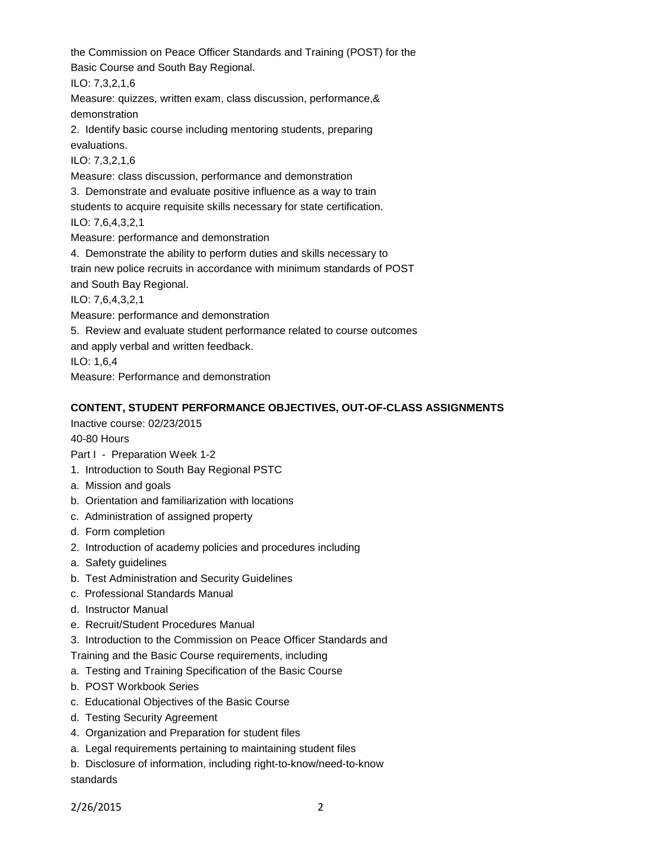the Commission on Peace Officer Standards and Training (POST) for the Basic Course and South Bay Regional.

ILO: 7,3,2,1,6

Measure: quizzes, written exam, class discussion, performance,& demonstration

2. Identify basic course including mentoring students, preparing evaluations.

ILO: 7,3,2,1,6

Measure: class discussion, performance and demonstration

3. Demonstrate and evaluate positive influence as a way to train

students to acquire requisite skills necessary for state certification.

ILO: 7,6,4,3,2,1

Measure: performance and demonstration

4. Demonstrate the ability to perform duties and skills necessary to train new police recruits in accordance with minimum standards of POST

and South Bay Regional.

ILO: 7,6,4,3,2,1

Measure: performance and demonstration

5. Review and evaluate student performance related to course outcomes

and apply verbal and written feedback.

ILO: 1,6,4

Measure: Performance and demonstration

# **CONTENT, STUDENT PERFORMANCE OBJECTIVES, OUT-OF-CLASS ASSIGNMENTS**

Inactive course: 02/23/2015

40-80 Hours

Part I - Preparation Week 1-2

- 1. Introduction to South Bay Regional PSTC
- a. Mission and goals
- b. Orientation and familiarization with locations
- c. Administration of assigned property
- d. Form completion
- 2. Introduction of academy policies and procedures including
- a. Safety guidelines
- b. Test Administration and Security Guidelines
- c. Professional Standards Manual
- d. Instructor Manual
- e. Recruit/Student Procedures Manual
- 3. Introduction to the Commission on Peace Officer Standards and

Training and the Basic Course requirements, including

- a. Testing and Training Specification of the Basic Course
- b. POST Workbook Series
- c. Educational Objectives of the Basic Course
- d. Testing Security Agreement
- 4. Organization and Preparation for student files
- a. Legal requirements pertaining to maintaining student files
- b. Disclosure of information, including right-to-know/need-to-know standards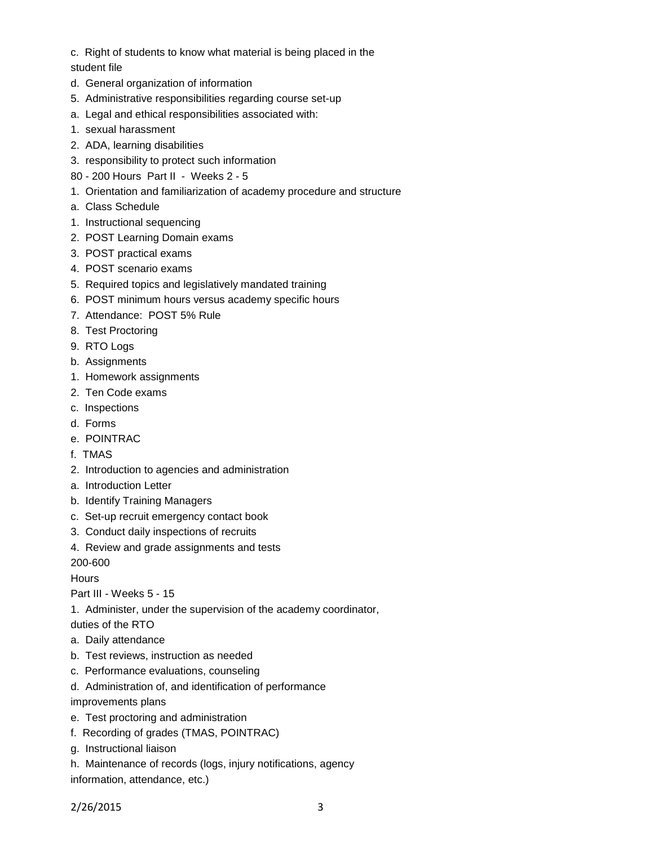- c. Right of students to know what material is being placed in the
- student file
- d. General organization of information
- 5. Administrative responsibilities regarding course set-up
- a. Legal and ethical responsibilities associated with:
- 1. sexual harassment
- 2. ADA, learning disabilities
- 3. responsibility to protect such information
- 80 200 Hours Part II Weeks 2 5
- 1. Orientation and familiarization of academy procedure and structure
- a. Class Schedule
- 1. Instructional sequencing
- 2. POST Learning Domain exams
- 3. POST practical exams
- 4. POST scenario exams
- 5. Required topics and legislatively mandated training
- 6. POST minimum hours versus academy specific hours
- 7. Attendance: POST 5% Rule
- 8. Test Proctoring
- 9. RTO Logs
- b. Assignments
- 1. Homework assignments
- 2. Ten Code exams
- c. Inspections
- d. Forms
- e. POINTRAC
- f. TMAS
- 2. Introduction to agencies and administration
- a. Introduction Letter
- b. Identify Training Managers
- c. Set-up recruit emergency contact book
- 3. Conduct daily inspections of recruits
- 4. Review and grade assignments and tests

200-600

**Hours** 

Part III - Weeks 5 - 15

1. Administer, under the supervision of the academy coordinator,

duties of the RTO

- a. Daily attendance
- b. Test reviews, instruction as needed
- c. Performance evaluations, counseling
- d. Administration of, and identification of performance
- improvements plans
- e. Test proctoring and administration
- f. Recording of grades (TMAS, POINTRAC)
- g. Instructional liaison
- h. Maintenance of records (logs, injury notifications, agency

information, attendance, etc.)

2/26/2015 3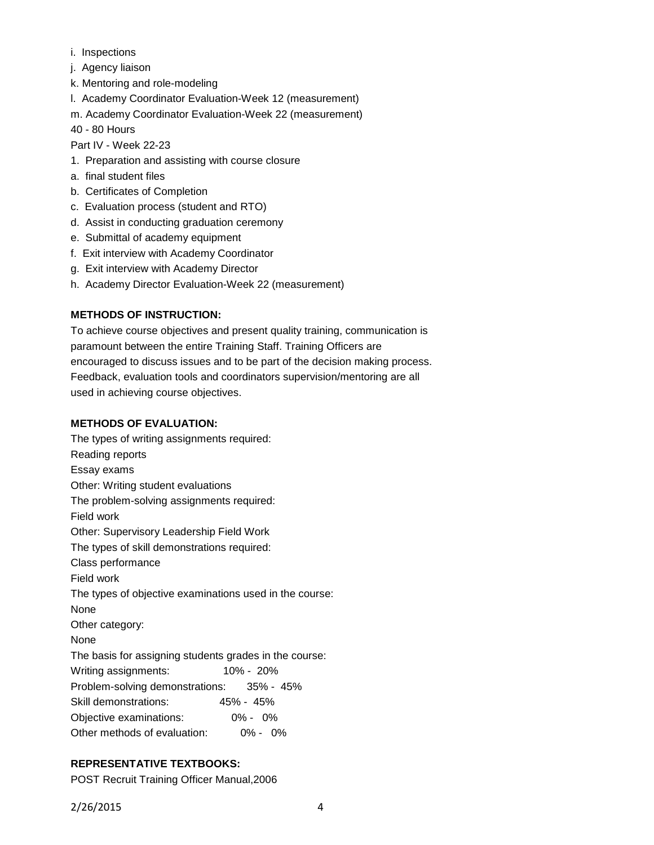- i. Inspections
- j. Agency liaison
- k. Mentoring and role-modeling
- l. Academy Coordinator Evaluation-Week 12 (measurement)
- m. Academy Coordinator Evaluation-Week 22 (measurement)

40 - 80 Hours

Part IV - Week 22-23

- 1. Preparation and assisting with course closure
- a. final student files
- b. Certificates of Completion
- c. Evaluation process (student and RTO)
- d. Assist in conducting graduation ceremony
- e. Submittal of academy equipment
- f. Exit interview with Academy Coordinator
- g. Exit interview with Academy Director
- h. Academy Director Evaluation-Week 22 (measurement)

# **METHODS OF INSTRUCTION:**

To achieve course objectives and present quality training, communication is paramount between the entire Training Staff. Training Officers are encouraged to discuss issues and to be part of the decision making process. Feedback, evaluation tools and coordinators supervision/mentoring are all used in achieving course objectives.

## **METHODS OF EVALUATION:**

The types of writing assignments required: Reading reports Essay exams Other: Writing student evaluations The problem-solving assignments required: Field work Other: Supervisory Leadership Field Work The types of skill demonstrations required: Class performance Field work The types of objective examinations used in the course: None Other category: None The basis for assigning students grades in the course: Writing assignments: 10% - 20% Problem-solving demonstrations: 35% - 45% Skill demonstrations: 45% - 45% Objective examinations: 0% - 0% Other methods of evaluation: 0% - 0%

# **REPRESENTATIVE TEXTBOOKS:**

POST Recruit Training Officer Manual,2006